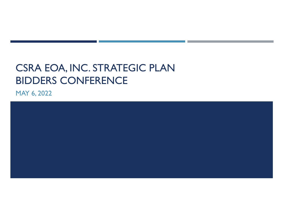# CSRA EOA, INC. STRATEGIC PLAN BIDDERS CONFERENCE

MAY 6, 2022

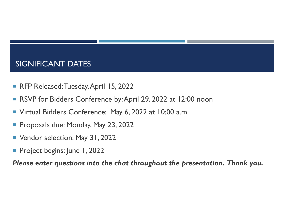#### SIGNIFICANT DATES

- $\left\vert \cdot \right\vert$ RFP Released: Tuesday, April 15, 2022
- $\mathcal{L}_{\mathcal{A}}$ RSVP for Bidders Conference by: April 29, 2022 at 12:00 noon
- $\mathcal{L}_{\mathcal{A}}$ Virtual Bidders Conference: May 6, 2022 at 10:00 a.m.
- $\mathbb{R}^3$ Proposals due: Monday, May 23, 2022
- $\mathcal{L}_{\mathcal{A}}$ Vendor selection: May 31, 2022
- $\mathcal{L}_{\mathcal{A}}$ Project begins: June 1, 2022

*Please enter questions into the chat throughout the presentation. Thank you.*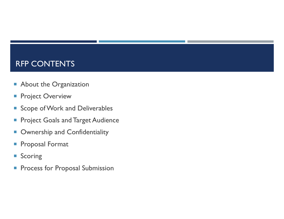#### RFP CONTENTS

- $\mathcal{L}_{\mathcal{A}}$ About the Organization
- $\mathcal{C}^{\mathcal{A}}$ Project Overview
- $\mathcal{C}^{\mathcal{A}}$ Scope of Work and Deliverables
- $\mathcal{C}$ Project Goals and Target Audience
- $\mathcal{L}_{\mathcal{A}}$ Ownership and Confidentiality
- $\mathcal{L}_{\mathcal{A}}$ Proposal Format
- $\mathcal{L}_{\mathcal{A}}$ Scoring
- $\mathcal{C}^{\mathcal{A}}$ Process for Proposal Submission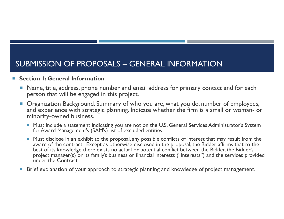#### SUBMISSION OF PROPOSALS – GENERAL INFORMATION

#### $\vert \ \ \vert$ **Section 1: General Information**

- $\overline{\mathbb{R}^n}$  Name, title, address, phone number and email address for primary contact and for each person that will be engaged in this project.
- Organization Background. Summary of who you are, what you do, number of employees, and experience with strategic planning. Indicate whether the firm is a small or woman- or minority-owned business.
	- Must include a statement indicating you are not on the U.S. General Services Administrator's System for Award Management's (SAM's) list of excluded entities
	- $\blacksquare$  Must disclose in an exhibit to the proposal, any possible conflicts of interest that may result from the award of the contract. Except as otherwise disclosed in the proposal, the Bidder affirms that to the best of its knowledge there exists no actual or potential conflict between the Bidder, the Bidder's project manager(s) or its family's business or financial interests ("Interests") and the services provided under the Contract.
- П Brief explanation of your approach to strategic planning and knowledge of project management.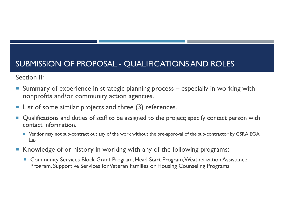#### SUBMISSION OF PROPOSAL - QUALIFICATIONS AND ROLES

Section II:

- $\overline{\phantom{a}}$  Summary of experience in strategic planning process – especially in working with nonprofits and/or community action agencies.
- $\mathbb{R}^n$ List of some similar projects and three (3) references.
- $\Box$  Qualifications and duties of staff to be assigned to the project; specify contact person with contact information.
	- **P** Vendor may not sub-contract out any of the work without the pre-approval of the sub-contractor by CSRA EOA, Inc.
- $\mathcal{C}_{\mathcal{A}}$  Knowledge of or history in working with any of the following programs:
	- $\mathcal{C}$  Community Services Block Grant Program, Head Start Program, Weatherization Assistance Program, Supportive Services for Veteran Families or Housing Counseling Programs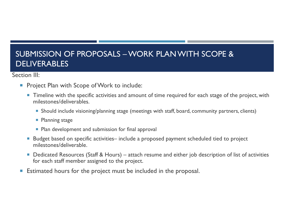### SUBMISSION OF PROPOSALS – WORK PLAN WITH SCOPE & **DELIVERABLES**

Section III:

- $\mathcal{C}_{\mathcal{A}}$  Project Plan with Scope of Work to include:
	- **Timeline with the specific activities and amount of time required for each stage of the project, with** milestones/deliverables.
		- Should include visioning/planning stage (meetings with staff, board, community partners, clients)
		- **Planning stage**
		- **Plan development and submission for final approval**
	- Budget based on specific activities– include a proposed payment scheduled tied to project milestones/deliverable.
	- Dedicated Resources (Staff & Hours) attach resume and either job description of list of activities for each staff member assigned to the project.
- $\mathcal{L}_{\mathcal{A}}$ Estimated hours for the project must be included in the proposal.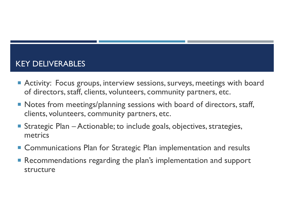#### KEY DELIVERABLES

- Activity: Focus groups, interview sessions, surveys, meetings with board of directors, staff, clients, volunteers, community partners, etc.
- Notes from meetings/planning sessions with board of directors, staff, clients, volunteers, community partners, etc.
- Strategic Plan Actionable; to include goals, objectives, strategies, metrics
- **EXPEDENT Communications Plan for Strategic Plan implementation and results**
- Recommendations regarding the plan's implementation and support structure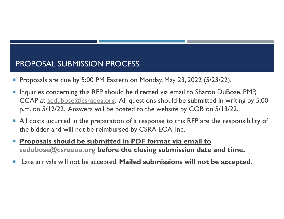#### PROPOSAL SUBMISSION PROCESS

- Proposals are due by 5:00 PM Eastern on Monday, May 23, 2022 (5/23/22).
- Inquiries concerning this RFP should be directed via email to Sharon DuBose, PMP, CCAP at sedubose@csraeoa.org. All questions should be submitted in writing by 5:00 p.m. on 5/12/22. Answers will be posted to the website by COB on 5/13/22.
- All costs incurred in the preparation of a response to this RFP are the responsibility of the bidder and will not be reimbursed by CSRA EOA, Inc.
- **Proposals should be submitted in PDF format via email to sedubose@csraeoa.org before the closing submission date and time.**
- Late arrivals will not be accepted. **Mailed submissions will not be accepted.**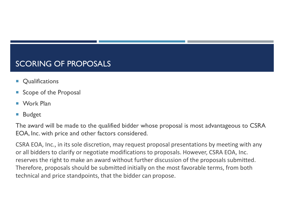### SCORING OF PROPOSALS

- $\Box$ **Qualifications**
- $\mathbb{R}^2$ Scope of the Proposal
- $\overline{\mathbb{R}^n}$ Work Plan
- $\Box$ Budget

The award will be made to the qualified bidder whose proposal is most advantageous to CSRA EOA, Inc. with price and other factors considered.

CSRA EOA, Inc., in its sole discretion, may request proposal presentations by meeting with any or all bidders to clarify or negotiate modifications to proposals. However, CSRA EOA, Inc. reserves the right to make an award without further discussion of the proposals submitted. Therefore, proposals should be submitted initially on the most favorable terms, from both technical and price standpoints, that the bidder can propose.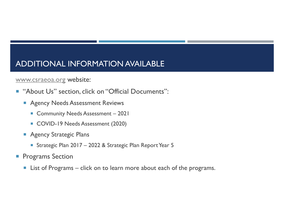#### ADDITIONAL INFORMATION AVAILABLE

#### www.csraeoa.org website:

- $\mathcal{C}_{\mathcal{A}}$  "About Us" section, click on "Official Documents":
	- **Agency Needs Assessment Reviews** 
		- Community Needs Assessment 2021
		- COVID-19 Needs Assessment (2020)
	- **Agency Strategic Plans** 
		- Strategic Plan 2017 2022 & Strategic Plan Report Year 5
- **Programs Section** 
	- **List of Programs click on to learn more about each of the programs.**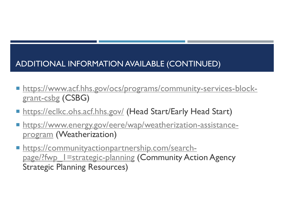## ADDITIONAL INFORMATION AVAILABLE (CONTINUED)

- **https://www.acf.hhs.gov/ocs/programs/community-services-block**grant-csbg (CSBG)
- **https://eclkc.ohs.acf.hhs.gov/ (Head Start/Early Head Start)**
- https://www.energy.gov/eere/wap/weatherization-assistanceprogram (Weatherization)
- **https://communityactionpartnership.com/search**page/?fwp\_1=strategic-planning (Community Action Agency Strategic Planning Resources)